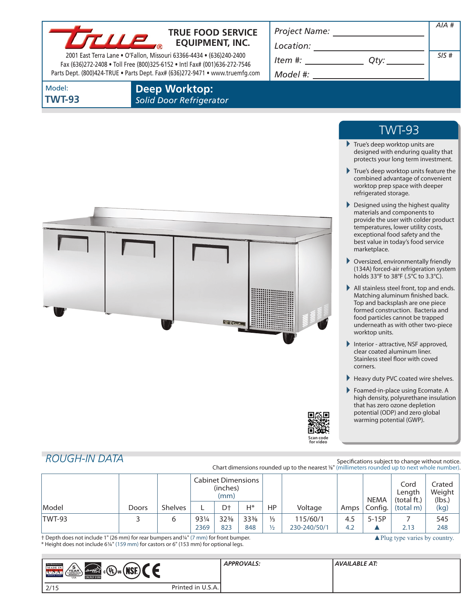

## **TRUE FOOD SERVICE EQUIPMENT, INC.**

2001 East Terra Lane • O'Fallon, Missouri 63366-4434 • (636)240-2400 Fax (636)272-2408 • Toll Free (800)325-6152 • Intl Fax# (001)636-272-7546 Parts Dept. (800)424-TRUE • Parts Dept. Fax# (636)272-9471 • www.truemfg.com *Project Name:*

*Location:*

| Item #: |  | $Q$ ty |
|---------|--|--------|
|         |  |        |

*AIA #*

*SIS #*

*Model #:*

Model: **TWT-93** **Deep Worktop:** *Solid Door Refrigerator*



# TWT-93

- True's deep worktop units are designed with enduring quality that protects your long term investment.
- True's deep worktop units feature the combined advantage of convenient worktop prep space with deeper refrigerated storage.
- Designed using the highest quality materials and components to provide the user with colder product temperatures, lower utility costs, exceptional food safety and the best value in today's food service marketplace.
- Oversized, environmentally friendly (134A) forced-air refrigeration system holds 33°F to 38°F (.5°C to 3.3°C).
- All stainless steel front, top and ends. Matching aluminum finished back. Top and backsplash are one piece formed construction. Bacteria and food particles cannot be trapped underneath as with other two-piece worktop units.
- Interior attractive, NSF approved, clear coated aluminum liner. Stainless steel floor with coved corners.
- Heavy duty PVC coated wire shelves.
- Foamed-in-place using Ecomate. A high density, polyurethane insulation that has zero ozone depletion potential (ODP) and zero global warming potential (GWP).

▲ Plug type varies by country.



# *ROUGH-IN DATA*

Specifications subject to change without notice. Chart dimensions rounded up to the nearest <sup>1/8"</sup> (millimeters rounded up to next whole number).

|               |       |                | <b>Cabinet Dimensions</b><br>(inches)<br>(mm) |                 |                 |               |              | <b>NEMA</b>       | Cord<br>Length<br>(total ft.) | Crated<br>Weight<br>(lbs.) |      |
|---------------|-------|----------------|-----------------------------------------------|-----------------|-----------------|---------------|--------------|-------------------|-------------------------------|----------------------------|------|
| Model         | Doors | <b>Shelves</b> |                                               | D†              | H*              | НP            | Voltage      | Amps <sup>1</sup> | Config.                       | (total m)                  | (kg) |
| <b>TWT-93</b> |       | ь              | 931/4                                         | $32\frac{3}{8}$ | $33\frac{3}{8}$ | $\frac{1}{3}$ | 115/60/1     | 4.5               | $5-15P$                       |                            | 545  |
|               |       |                | 2369                                          | 823             | 848             | ½             | 230-240/50/1 | 4.2               |                               | 2.13                       | 248  |

† Depth does not include 1" (26 mm) for rear bumpers and1/4" (7 mm) for front bumper. \* Height does not include 61/4" (159 mm) for castors or 6" (153 mm) for optional legs.

| <b>TRIK REFEREEMENT</b><br>′5`<br>$  \,$ <sub>c</sub> (Q) $\,$ us ( <br><b>MADE IN</b><br><b>NSE</b><br>energy<br><b>CONTRACTOR</b><br>VEAR<br>SINCE 1945<br><b>ENERGY STAR</b><br><b>USA</b> |                   | <b>APPROVALS:</b> | AVAILABLE AT: |
|-----------------------------------------------------------------------------------------------------------------------------------------------------------------------------------------------|-------------------|-------------------|---------------|
| 2/15                                                                                                                                                                                          | Printed in U.S.A. |                   |               |